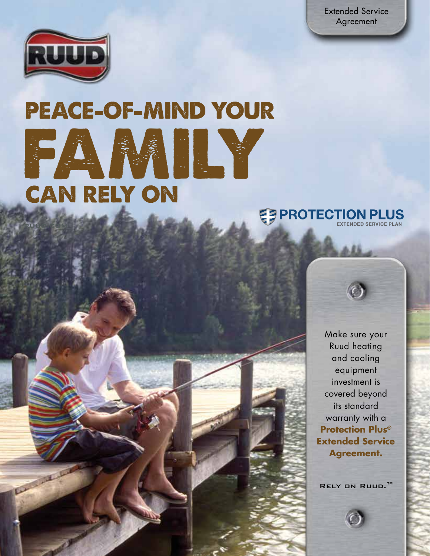Extended Service Agreement



ruud.com

**ANTIFACTURE** 

# PEACE-OF-MIND YOUR FAMILY CAN RELY ON



Make sure your Ruud heating and cooling equipment investment is covered beyond its standard warranty with a **Protection Plus® Extended Service Agreement.**

Rely on Ruud.™

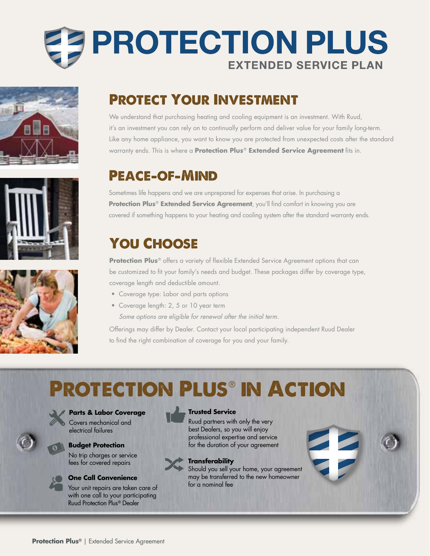







## Protect Your Investment

We understand that purchasing heating and cooling equipment is an investment. With Ruud, it's an investment you can rely on to continually perform and deliver value for your family long-term. Like any home appliance, you want to know you are protected from unexpected costs after the standard warranty ends. This is where a **Protection Plus**® **Extended Service Agreement** fits in.

## Peace-of-Mind

Sometimes life happens and we are unprepared for expenses that arise. In purchasing a **Protection Plus**® **Extended Service Agreement**, you'll find comfort in knowing you are covered if something happens to your heating and cooling system after the standard warranty ends.

## YOU CHOOSE

**Protection Plus**<sup>®</sup> offers a variety of flexible Extended Service Agreement options that can be customized to fit your family's needs and budget. These packages differ by coverage type, coverage length and deductible amount.

- Coverage type: Labor and parts options
- Coverage length: 2, 5 or 10 year term  *Some options are eligible for renewal after the initial term.*

Offerings may differ by Dealer. Contact your local participating independent Ruud Dealer to find the right combination of coverage for you and your family.

## Protection Plus® in Action



**Parts & Labor Coverage**  Covers mechanical and

electrical failures

No trip charges or service fees for covered repairs

#### **One Call Convenience**

Your unit repairs are taken care of with one call to your participating Ruud Protection Plus® Dealer

#### **Trusted Service**

Ruud partners with only the very best Dealers, so you will enjoy professional expertise and service **Budget Protection for the duration of your agreement** 



#### **Transferability**

Should you sell your home, your agreement may be transferred to the new homeowner for a nominal fee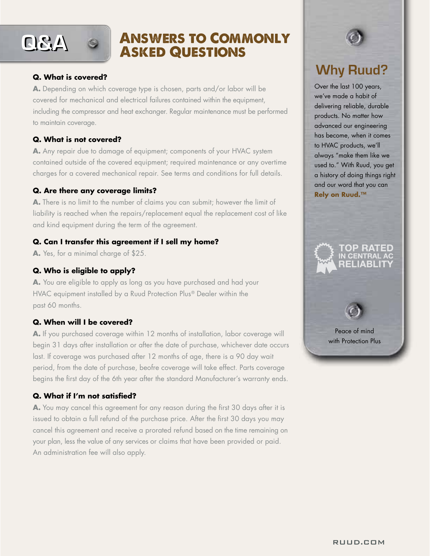

### Answers to Commonly Asked Questions

#### **Q. What is covered?**

l

**A.** Depending on which coverage type is chosen, parts and/or labor will be covered for mechanical and electrical failures contained within the equipment, including the compressor and heat exchanger. Regular maintenance must be performed to maintain coverage.

#### **Q. What is not covered?**

**A.** Any repair due to damage of equipment; components of your HVAC system contained outside of the covered equipment; required maintenance or any overtime charges for a covered mechanical repair. See terms and conditions for full details.

#### **Q. Are there any coverage limits?**

**A.** There is no limit to the number of claims you can submit; however the limit of liability is reached when the repairs/replacement equal the replacement cost of like **Outlined to the contract of the co** and kind equipment during the term of the agreement.

#### **Q. Can I transfer this agreement if I sell my home? TOP RATED**

**A.** Yes, for a minimal charge of \$25.

#### **Q. Who is eligible to apply?**

**A.** You are eligible to apply as long as you have purchased and had your HVAC equipment installed by a Ruud Protection Plus® Dealer within the past 60 months.

#### **Q. When will I be covered?**

**A.** If you purchased coverage within 12 months of installation, labor coverage will begin 31 days after installation or after the date of purchase, whichever date occurs last. If coverage was purchased after 12 months of age, there is a 90 day wait period, from the date of purchase, beofre coverage will take effect. Parts coverage begins the first day of the 6th year after the standard Manufacturer's warranty ends.

#### **Q. What if I'm not satisfied?**

**A.** You may cancel this agreement for any reason during the first 30 days after it is issued to obtain a full refund of the purchase price. After the first 30 days you may cancel this agreement and receive a prorated refund based on the time remaining on your plan, less the value of any services or claims that have been provided or paid. An administration fee will also apply.



Over the last 100 years, we've made a habit of delivering reliable, durable products. No matter how advanced our engineering has become, when it comes to HVAC products, we'll always "make them like we used to." With Ruud, you get a history of doing things right and our word that you can **Rely on Ruud.™**



TOP RATED **CENTR**